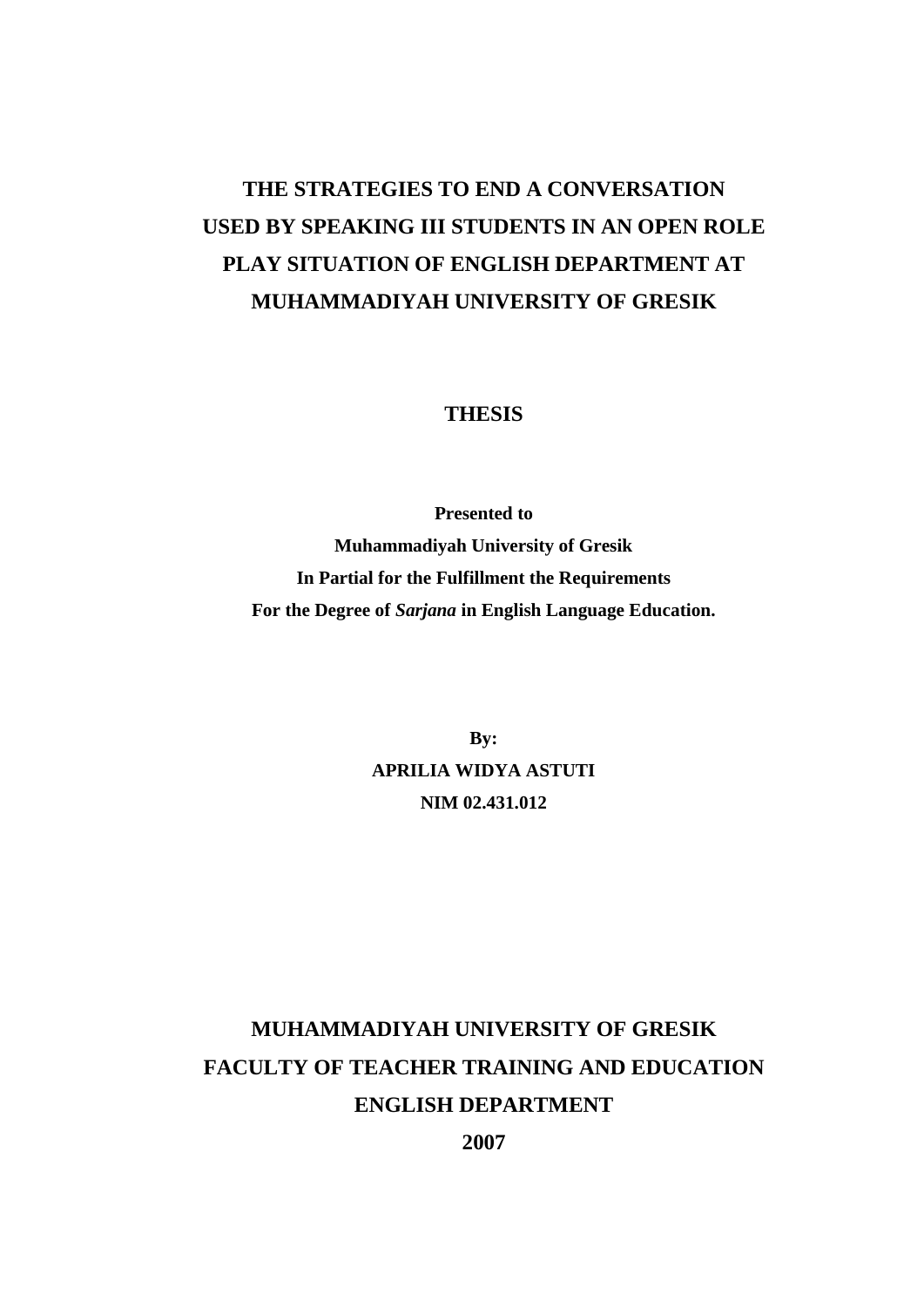# **THE STRATEGIES TO END A CONVERSATION USED BY SPEAKING III STUDENTS IN AN OPEN ROLE PLAY SITUATION OF ENGLISH DEPARTMENT AT MUHAMMADIYAH UNIVERSITY OF GRESIK**

### **THESIS**

**Presented to Muhammadiyah University of Gresik In Partial for the Fulfillment the Requirements For the Degree of** *Sarjana* **in English Language Education.**

> **By: APRILIA WIDYA ASTUTI NIM 02.431.012**

# **MUHAMMADIYAH UNIVERSITY OF GRESIK FACULTY OF TEACHER TRAINING AND EDUCATION ENGLISH DEPARTMENT**

**2007**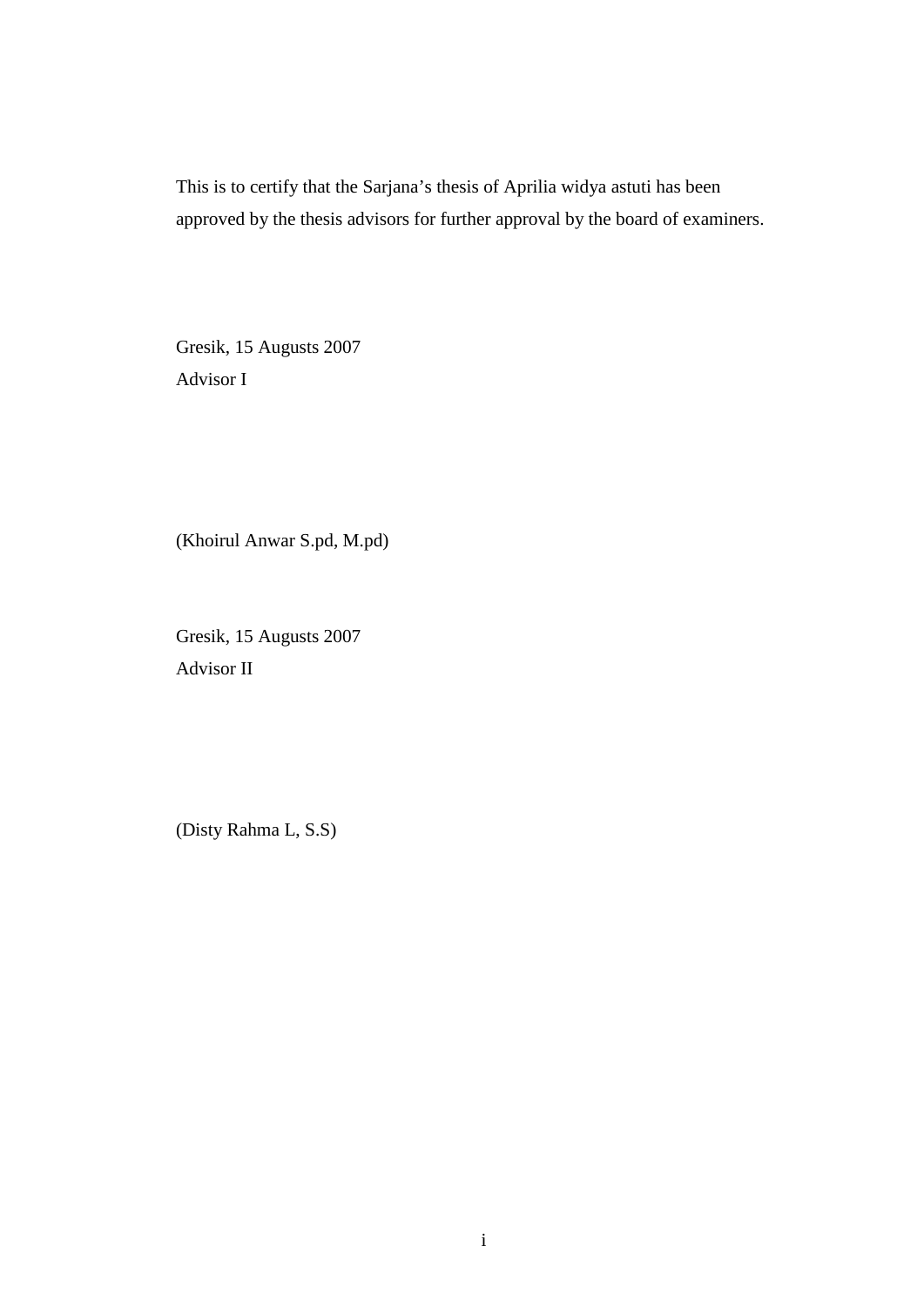This is to certify that the Sarjana's thesis of Aprilia widya astuti has been approved by the thesis advisors for further approval by the board of examiners.

Gresik, 15 Augusts 2007 Advisor I

(Khoirul Anwar S.pd, M.pd)

Gresik, 15 Augusts 2007 Advisor II

(Disty Rahma L, S.S)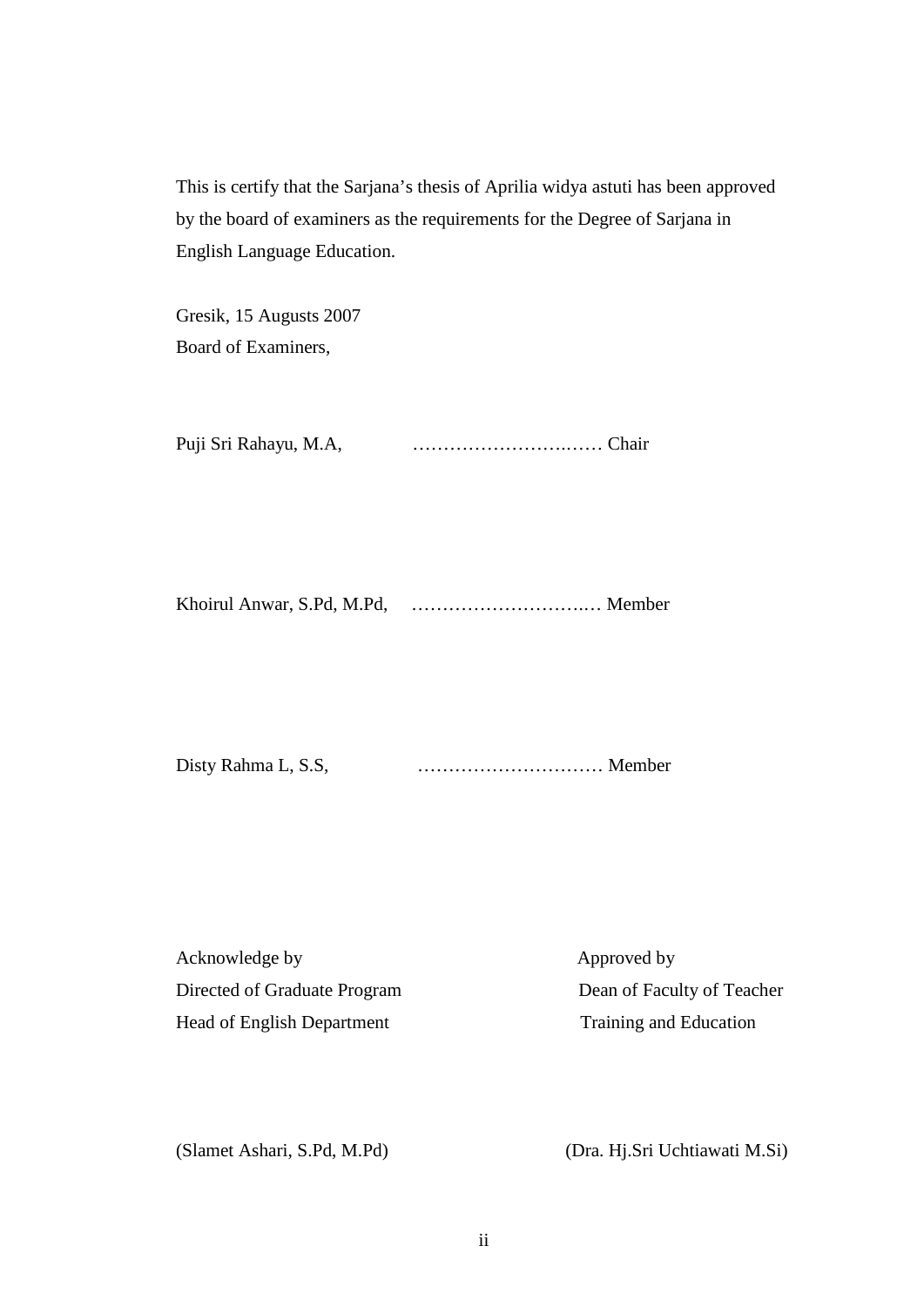This is certify that the Sarjana's thesis of Aprilia widya astuti has been approved by the board of examiners as the requirements for the Degree of Sarjana in English Language Education.

Gresik, 15 Augusts 2007 Board of Examiners,

Puji Sri Rahayu, M.A, …………………….…… Chair

Khoirul Anwar, S.Pd, M.Pd, ……………………….… Member

Disty Rahma L, S.S, ………………………… Member

Acknowledge by Approved by Approved by Directed of Graduate Program Dean of Faculty of Teacher Head of English Department Training and Education

(Slamet Ashari, S.Pd, M.Pd) (Dra. Hj.Sri Uchtiawati M.Si)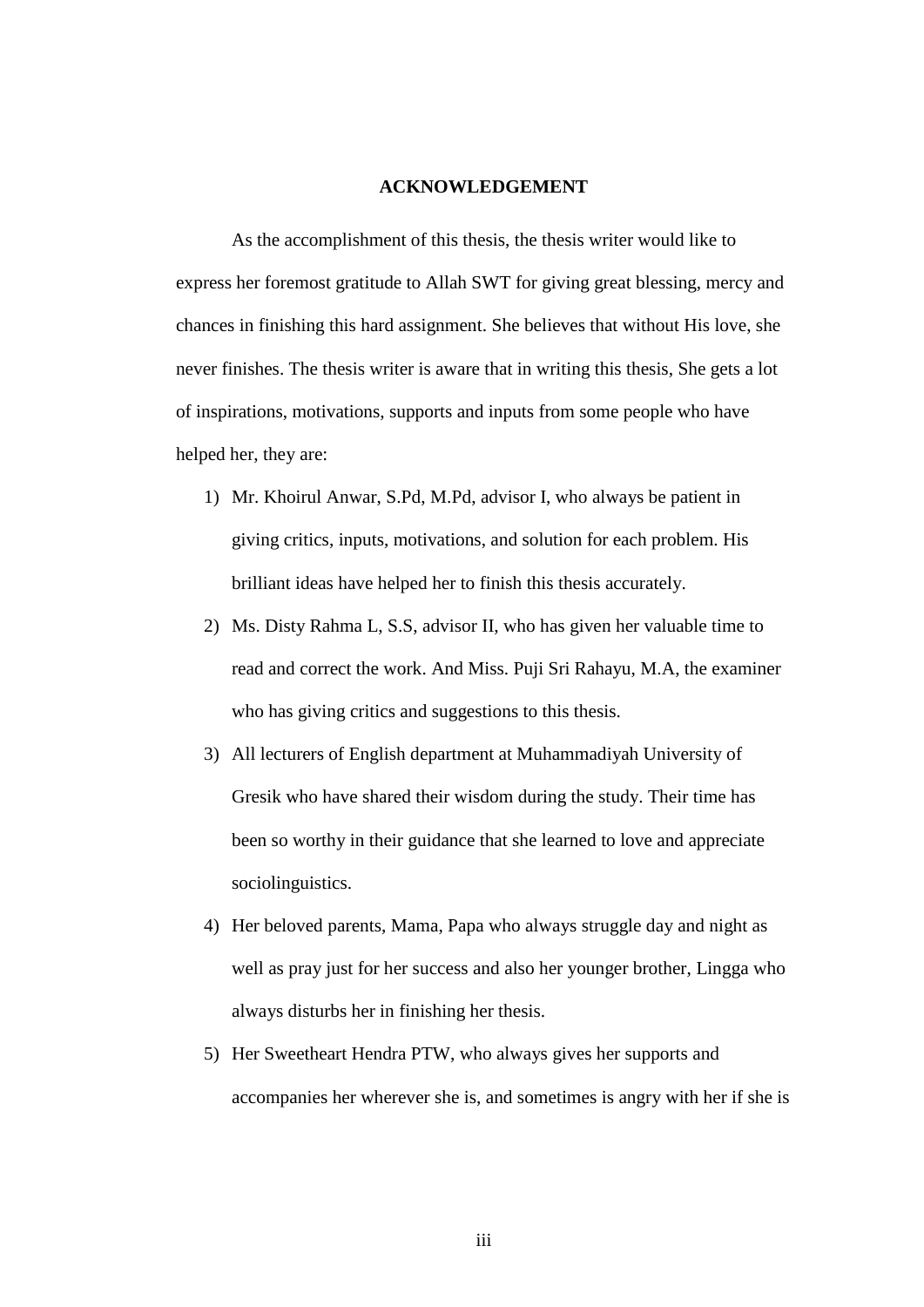#### **ACKNOWLEDGEMENT**

As the accomplishment of this thesis, the thesis writer would like to express her foremost gratitude to Allah SWT for giving great blessing, mercy and chances in finishing this hard assignment. She believes that without His love, she never finishes. The thesis writer is aware that in writing this thesis, She gets a lot of inspirations, motivations, supports and inputs from some people who have helped her, they are:

- 1) Mr. Khoirul Anwar, S.Pd, M.Pd, advisor I, who always be patient in giving critics, inputs, motivations, and solution for each problem. His brilliant ideas have helped her to finish this thesis accurately.
- 2) Ms. Disty Rahma L, S.S, advisor II, who has given her valuable time to read and correct the work. And Miss. Puji Sri Rahayu, M.A, the examiner who has giving critics and suggestions to this thesis.
- 3) All lecturers of English department at Muhammadiyah University of Gresik who have shared their wisdom during the study. Their time has been so worthy in their guidance that she learned to love and appreciate sociolinguistics.
- 4) Her beloved parents, Mama, Papa who always struggle day and night as well as pray just for her success and also her younger brother, Lingga who always disturbs her in finishing her thesis.
- 5) Her Sweetheart Hendra PTW, who always gives her supports and accompanies her wherever she is, and sometimes is angry with her if she is

iii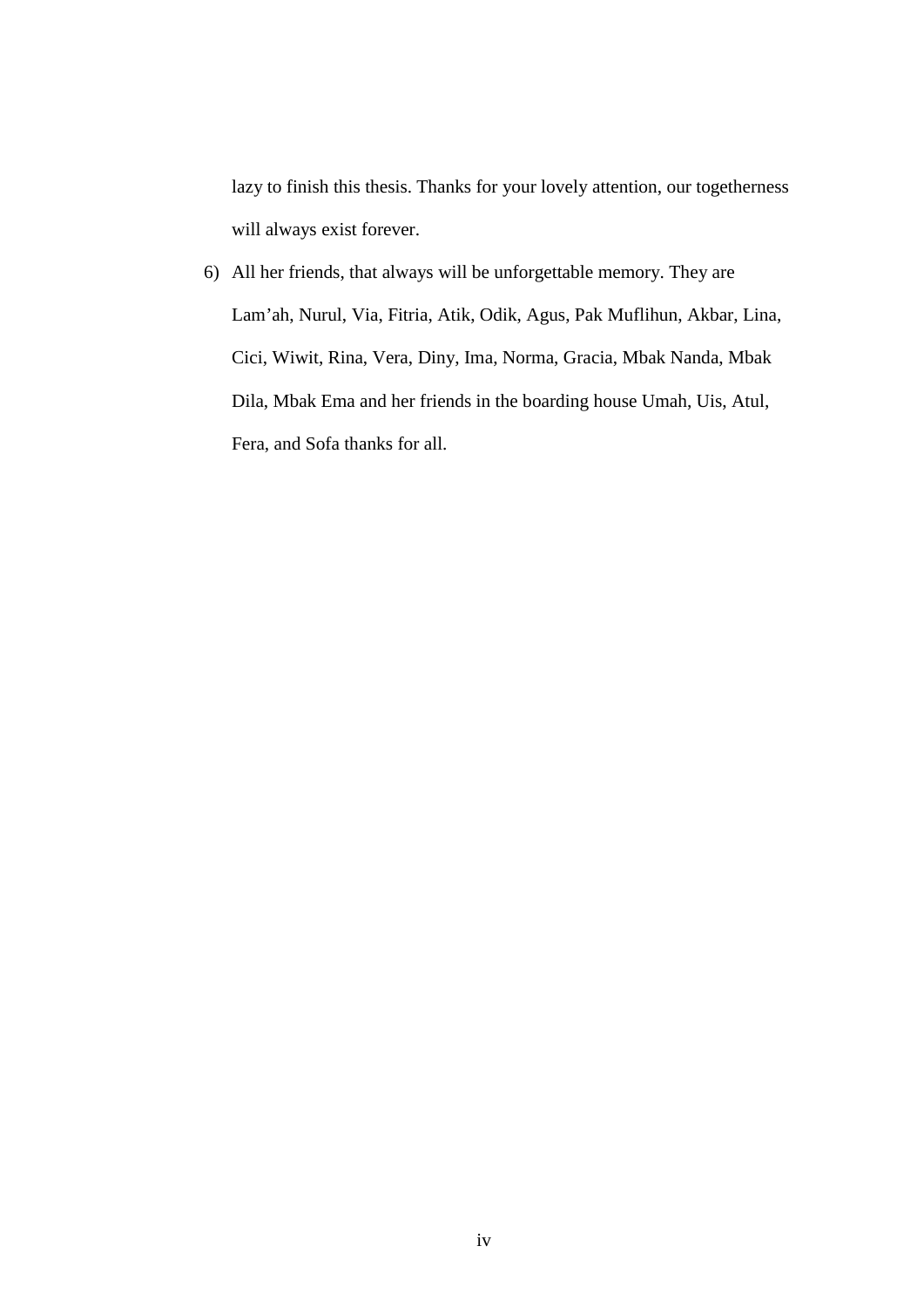lazy to finish this thesis. Thanks for your lovely attention, our togetherness will always exist forever.

6) All her friends, that always will be unforgettable memory. They are Lam'ah, Nurul, Via, Fitria, Atik, Odik, Agus, Pak Muflihun, Akbar, Lina, Cici, Wiwit, Rina, Vera, Diny, Ima, Norma, Gracia, Mbak Nanda, Mbak Dila, Mbak Ema and her friends in the boarding house Umah, Uis, Atul, Fera, and Sofa thanks for all.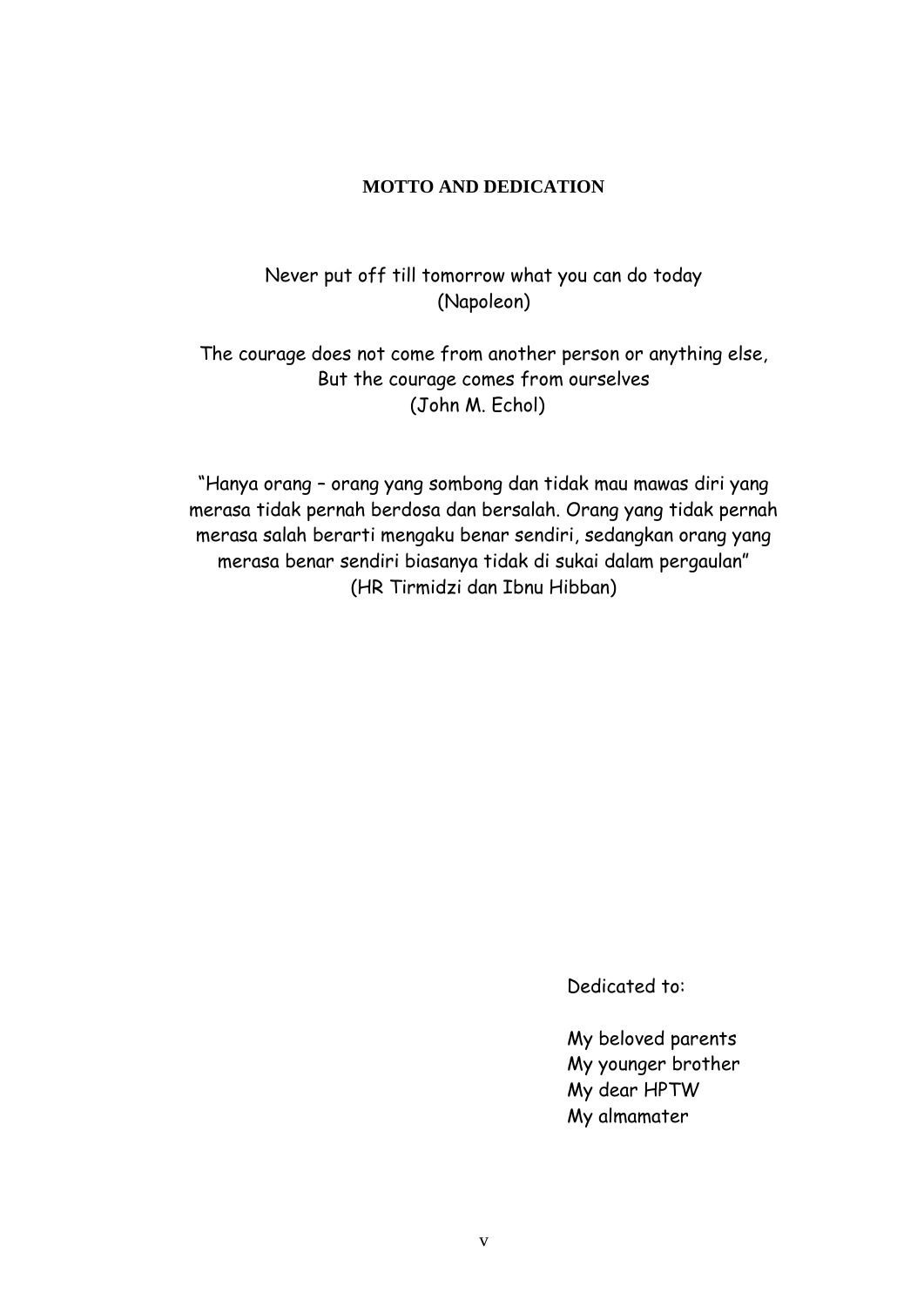## **MOTTO AND DEDICATION**

Never put off till tomorrow what you can do today (Napoleon)

The courage does not come from another person or anything else, But the courage comes from ourselves (John M. Echol)

"Hanya orang – orang yang sombong dan tidak mau mawas diri yang merasa tidak pernah berdosa dan bersalah. Orang yang tidak pernah merasa salah berarti mengaku benar sendiri, sedangkan orang yang merasa benar sendiri biasanya tidak di sukai dalam pergaulan" (HR Tirmidzi dan Ibnu Hibban)

Dedicated to:

My beloved parents My younger brother My dear HPTW My almamater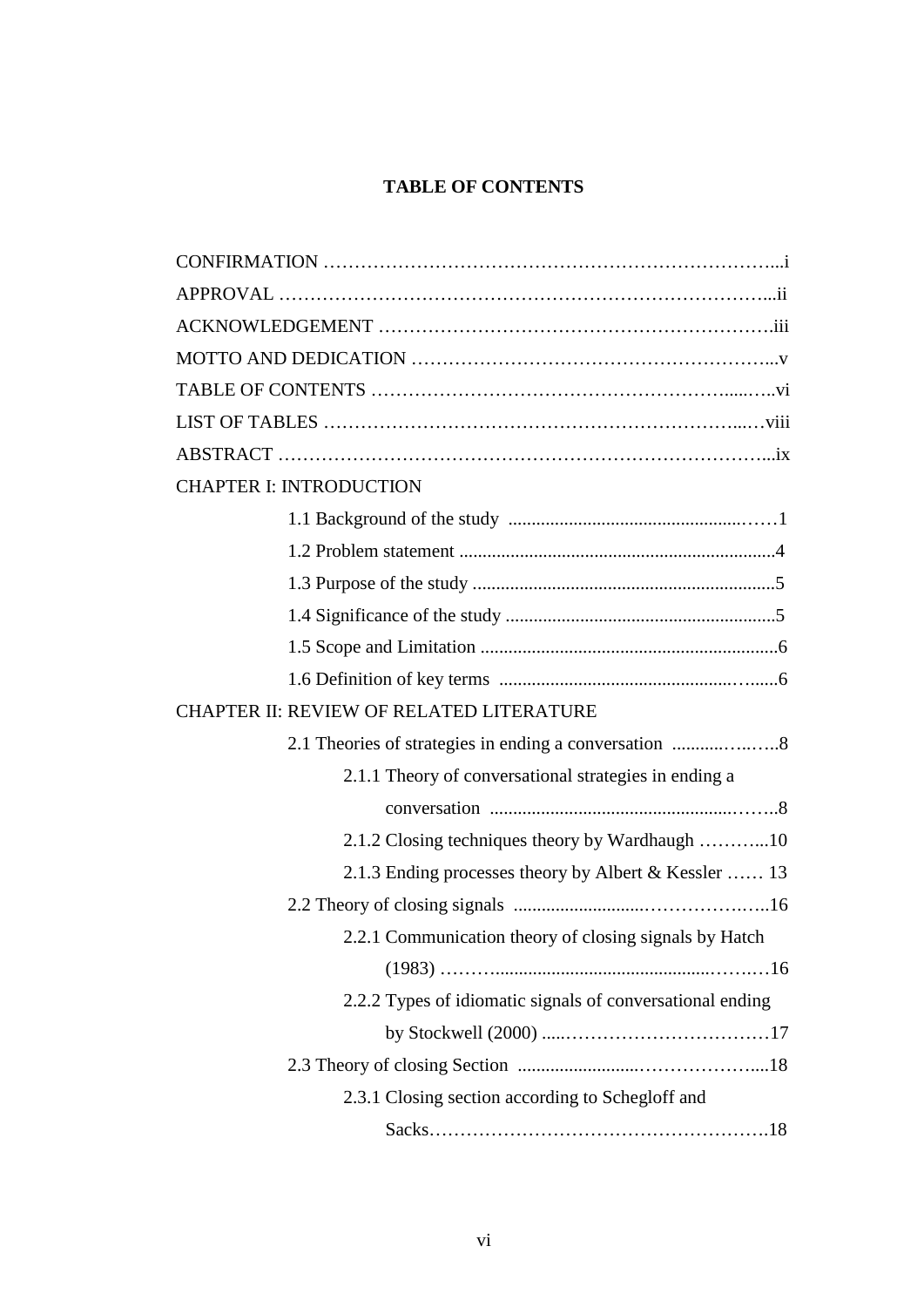## **TABLE OF CONTENTS**

| <b>CHAPTER I: INTRODUCTION</b>                            |
|-----------------------------------------------------------|
|                                                           |
|                                                           |
|                                                           |
|                                                           |
|                                                           |
|                                                           |
| CHAPTER II: REVIEW OF RELATED LITERATURE                  |
|                                                           |
| 2.1.1 Theory of conversational strategies in ending a     |
|                                                           |
| 2.1.2 Closing techniques theory by Wardhaugh 10           |
| 2.1.3 Ending processes theory by Albert & Kessler  13     |
|                                                           |
| 2.2.1 Communication theory of closing signals by Hatch    |
|                                                           |
| 2.2.2 Types of idiomatic signals of conversational ending |
|                                                           |
|                                                           |
| 2.3.1 Closing section according to Schegloff and          |
|                                                           |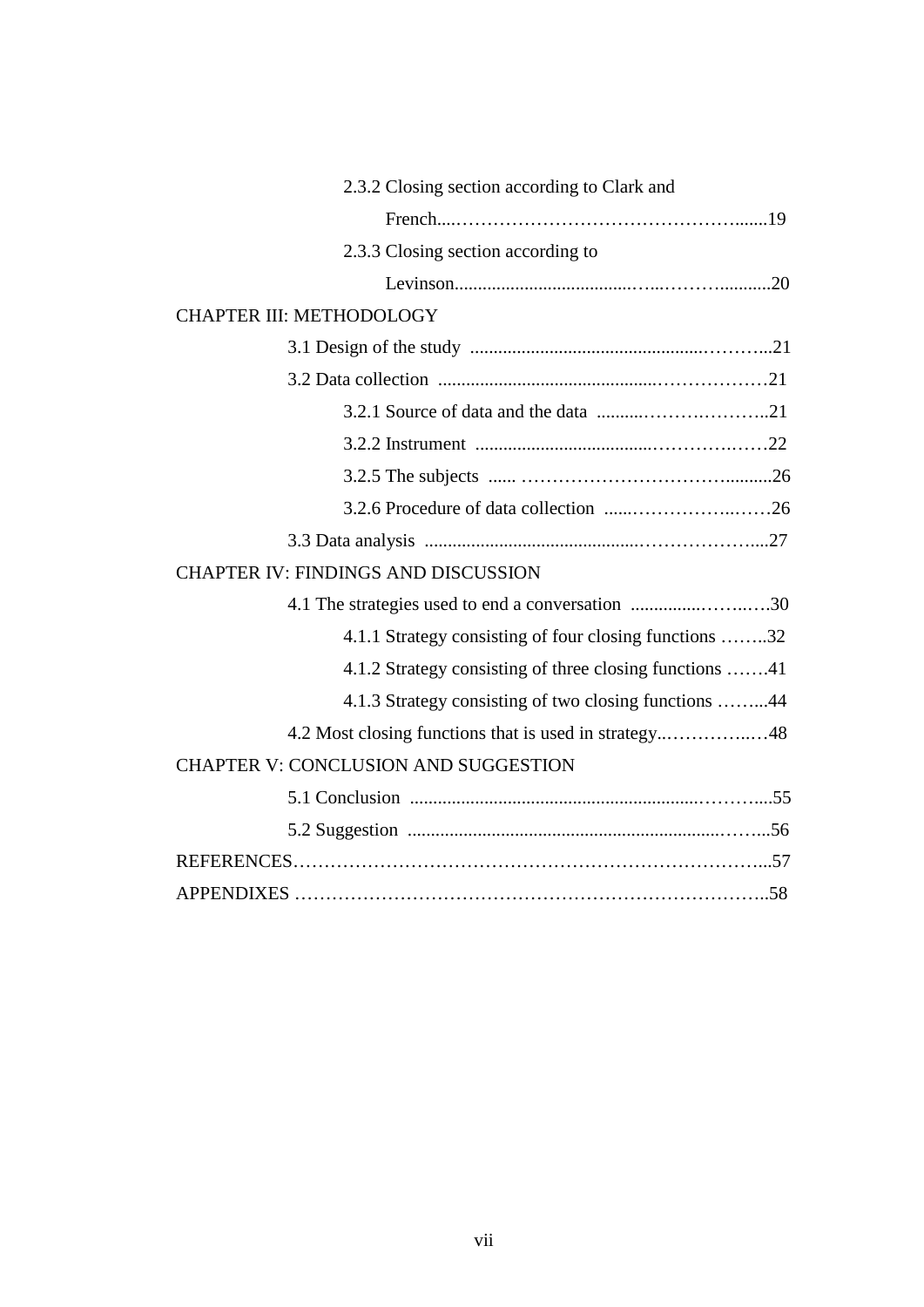| 2.3.2 Closing section according to Clark and            |
|---------------------------------------------------------|
|                                                         |
| 2.3.3 Closing section according to                      |
|                                                         |
| CHAPTER III: METHODOLOGY                                |
|                                                         |
|                                                         |
|                                                         |
|                                                         |
|                                                         |
|                                                         |
|                                                         |
| <b>CHAPTER IV: FINDINGS AND DISCUSSION</b>              |
| 4.1 The strategies used to end a conversation 30        |
| 4.1.1 Strategy consisting of four closing functions 32  |
| 4.1.2 Strategy consisting of three closing functions 41 |
| 4.1.3 Strategy consisting of two closing functions 44   |
|                                                         |
| <b>CHAPTER V: CONCLUSION AND SUGGESTION</b>             |
|                                                         |
|                                                         |
|                                                         |
|                                                         |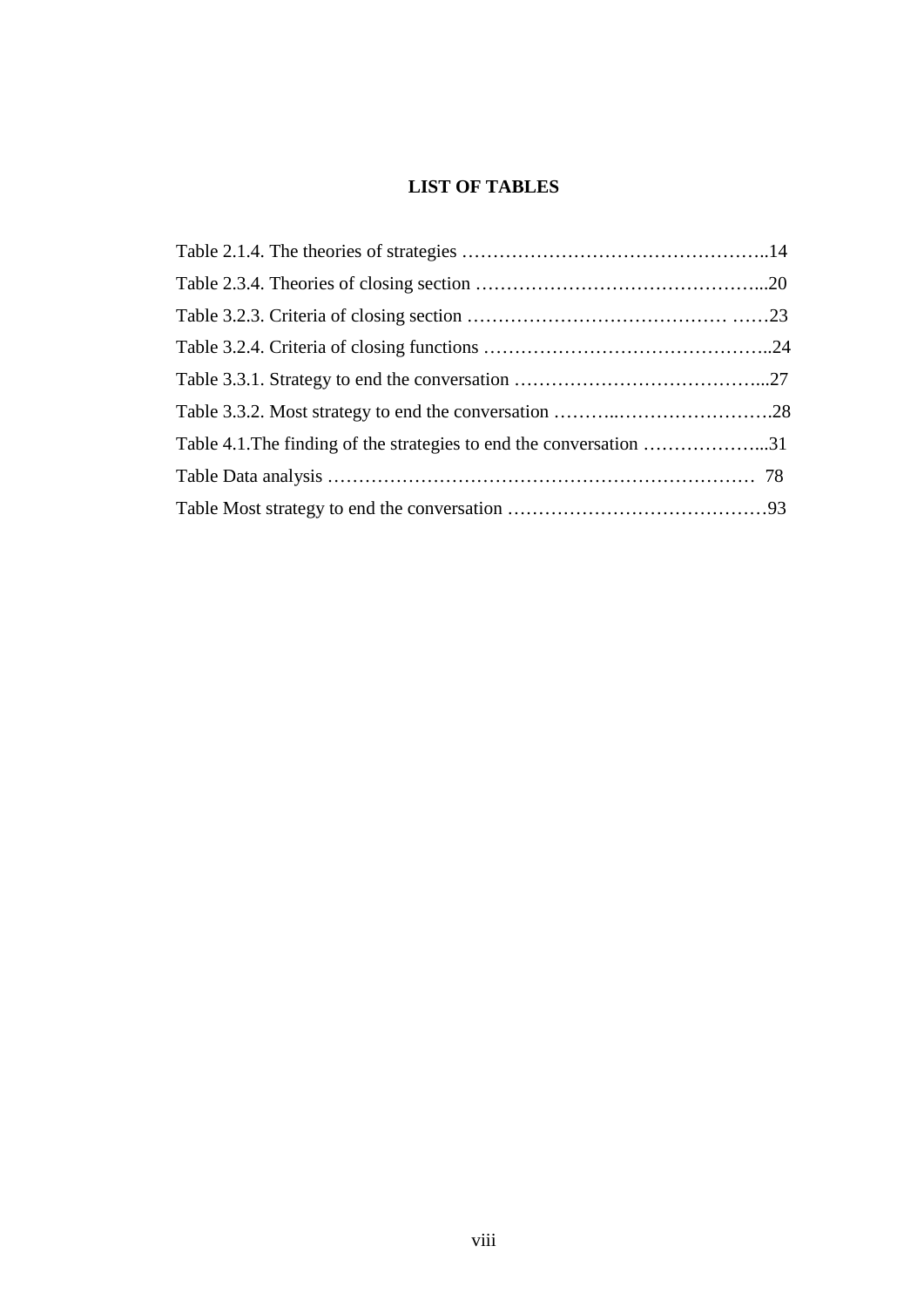## **LIST OF TABLES**